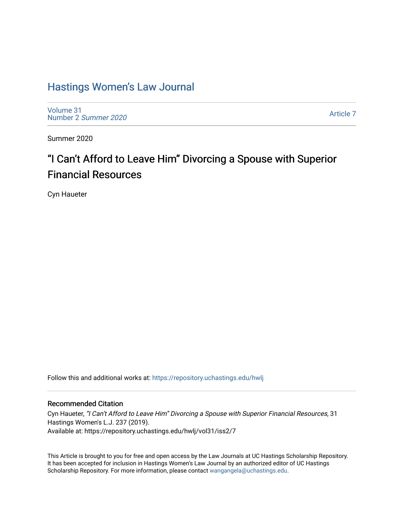# [Hastings Women's Law Journal](https://repository.uchastings.edu/hwlj)

[Volume 31](https://repository.uchastings.edu/hwlj/vol31) [Number 2](https://repository.uchastings.edu/hwlj/vol31/iss2) Summer 2020

[Article 7](https://repository.uchastings.edu/hwlj/vol31/iss2/7) 

Summer 2020

# "I Can't Afford to Leave Him" Divorcing a Spouse with Superior Financial Resources

Cyn Haueter

Follow this and additional works at: [https://repository.uchastings.edu/hwlj](https://repository.uchastings.edu/hwlj?utm_source=repository.uchastings.edu%2Fhwlj%2Fvol31%2Fiss2%2F7&utm_medium=PDF&utm_campaign=PDFCoverPages) 

## Recommended Citation

Cyn Haueter, "I Can't Afford to Leave Him" Divorcing a Spouse with Superior Financial Resources, 31 Hastings Women's L.J. 237 (2019). Available at: https://repository.uchastings.edu/hwlj/vol31/iss2/7

This Article is brought to you for free and open access by the Law Journals at UC Hastings Scholarship Repository. It has been accepted for inclusion in Hastings Women's Law Journal by an authorized editor of UC Hastings Scholarship Repository. For more information, please contact [wangangela@uchastings.edu.](mailto:wangangela@uchastings.edu)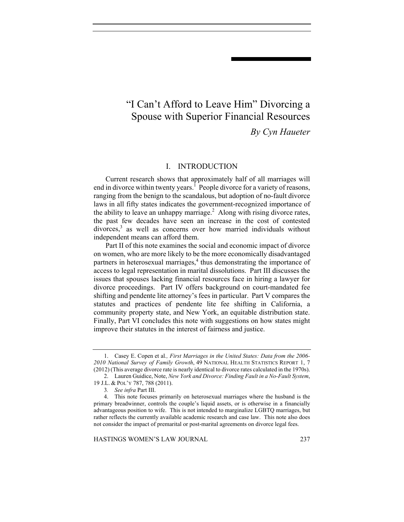# "I Can't Afford to Leave Him" Divorcing a Spouse with Superior Financial Resources

*By Cyn Haueter*

## I. INTRODUCTION

Current research shows that approximately half of all marriages will end in divorce within twenty years.<sup>1</sup> People divorce for a variety of reasons, ranging from the benign to the scandalous, but adoption of no-fault divorce laws in all fifty states indicates the government-recognized importance of the ability to leave an unhappy marriage.<sup>2</sup> Along with rising divorce rates, the past few decades have seen an increase in the cost of contested divorces,<sup>3</sup> as well as concerns over how married individuals without independent means can afford them.

Part II of this note examines the social and economic impact of divorce on women, who are more likely to be the more economically disadvantaged partners in heterosexual marriages,<sup>4</sup> thus demonstrating the importance of access to legal representation in marital dissolutions. Part III discusses the issues that spouses lacking financial resources face in hiring a lawyer for divorce proceedings. Part IV offers background on court-mandated fee shifting and pendente lite attorney's fees in particular. Part V compares the statutes and practices of pendente lite fee shifting in California, a community property state, and New York, an equitable distribution state. Finally, Part VI concludes this note with suggestions on how states might improve their statutes in the interest of fairness and justice.

HASTINGS WOMEN'S LAW JOURNAL 237

 <sup>1.</sup> Casey E. Copen et al*., First Marriages in the United States: Data from the 2006- 2010 National Survey of Family Growth*, 49 NATIONAL HEALTH STATISTICS REPORT 1, 7 (2012) (This average divorce rate is nearly identical to divorce rates calculated in the 1970s).

 <sup>2.</sup> Lauren Guidice, Note, *New York and Divorce: Finding Fault in a No-Fault System*, 19 J.L. & POL'Y 787, 788 (2011).

<sup>3</sup>*. See infra* Part III.

 <sup>4.</sup> This note focuses primarily on heterosexual marriages where the husband is the primary breadwinner, controls the couple's liquid assets, or is otherwise in a financially advantageous position to wife. This is not intended to marginalize LGBTQ marriages, but rather reflects the currently available academic research and case law. This note also does not consider the impact of premarital or post-marital agreements on divorce legal fees.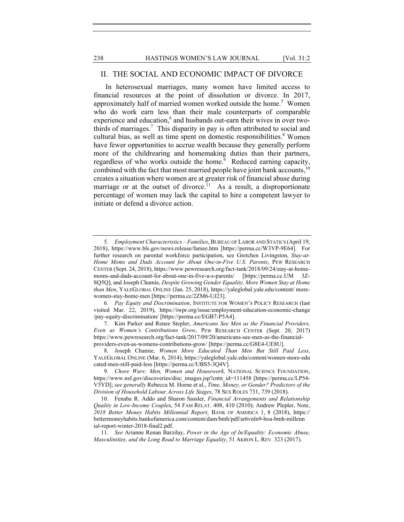#### II. THE SOCIAL AND ECONOMIC IMPACT OF DIVORCE

In heterosexual marriages, many women have limited access to financial resources at the point of dissolution or divorce. In 2017, approximately half of married women worked outside the home.<sup>5</sup> Women who do work earn less than their male counterparts of comparable experience and education,<sup>6</sup> and husbands out-earn their wives in over twothirds of marriages.<sup>7</sup> This disparity in pay is often attributed to social and cultural bias, as well as time spent on domestic responsibilities.<sup>8</sup> Women have fewer opportunities to accrue wealth because they generally perform more of the childrearing and homemaking duties than their partners, regardless of who works outside the home.<sup>9</sup> Reduced earning capacity, combined with the fact that most married people have joint bank accounts,  $10$ creates a situation where women are at greater risk of financial abuse during marriage or at the outset of divorce.<sup>11</sup> As a result, a disproportionate percentage of women may lack the capital to hire a competent lawyer to initiate or defend a divorce action.

<sup>5</sup>*. Employment Characteristics – Families*, BUREAU OF LABOR AND STATICS (April 19, 2018), https://www.bls.gov/news.release/famee.htm [https://perma.cc/W3VP-9E64]. For further research on parental workforce participation, see Gretchen Livingston, *Stay-at-Home Moms and Dads Account for About One-in-Five U.S. Parents*, PEW RESEARCH CENTER (Sept. 24, 2018), https://www.pewresearch.org/fact-tank/2018/09/24/stay-at-homemoms-and-dads-account-for-about-one-in-five-u-s-parents/ [https://perma.cc.UM 3Z-SQ5Q], and Joseph Chamie, *Despite Growing Gender Equality, More Women Stay at Home than Men*, YALEGLOBAL ONLINE (Jan. 25, 2018), https://yaleglobal.yale.edu/content/ morewomen-stay-home-men [https://perma.cc/2ZM6-UJ23].

<sup>6</sup>*. Pay Equity and Discrimination*, INSTITUTE FOR WOMEN'S POLICY RESEARCH (last visited Mar. 22, 2019), https://iwpr.org/issue/employment-education-economic-change /pay-equity-discrimination/ [https://perma.cc/EGB7-P5A4].

 <sup>7.</sup> Kim Parker and Renee Stepler, *Americans See Men as the Financial Providers, Even as Women's Contributions Grow*, PEW RESEARCH CENTER (Sept. 20, 2017) https://www.pewresearch.org/fact-tank/2017/09/20/americans-see-men-as-the-financialproviders-even-as-womens-contributions-grow/ [https://perma.cc/G8E4-UE8U].

 <sup>8.</sup> Joseph Chamie, *Women More Educated Than Men But Still Paid Less*, YALEGLOBAL ONLINE (Mar. 6, 2014), https://yaleglobal.yale.edu/content/women-more-edu cated-men-still-paid-less [https://perma.cc/UBS5-3Q4V].

<sup>9</sup>*. Chore Wars: Men, Women and Housework,* NATIONAL SCIENCE FOUNDATION, https://www.nsf.gov/discoveries/disc\_images.jsp?cntn\_id=111458 [https://perma.cc/LP54- V5YD]; *see generally* Rebecca M. Horne et al., *Time, Money, or Gender? Predictors of the Division of Household Labour Across Life Stages*, 78 SEX ROLES 731, 739 (2018).

 <sup>10.</sup> Fenaba R. Addo and Sharon Sassler, *Financial Arrangements and Relationship Quality in Low-Income Couple*s, 54 FAM RELAT. 408, 410 (2010); Andrew Plepler, Note, *2018 Better Money Habits Millennial Report*, BANK OF AMERICA 1, 8 (2018), https:// bettermoneyhabits.bankofamerica.com/content/dam/bmh/pdf/ar6vnln9-boa-bmh-millenn ial-report-winter-2018-final2.pdf.

<sup>11</sup>*. See* Arianne Renan Barzilay, *Power in the Age of In/Equality: Economic Abuse, Masculinities, and the Long Road to Marriage Equality*, 51 AKRON L. REV. 323 (2017).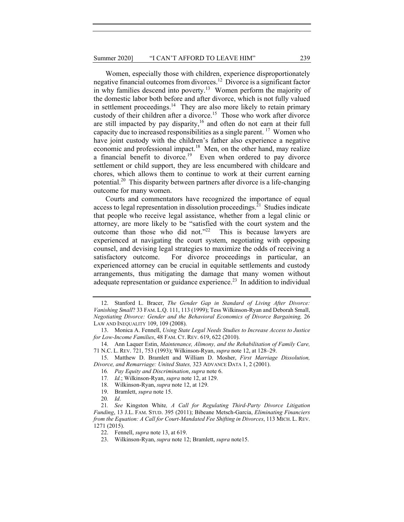Women, especially those with children, experience disproportionately negative financial outcomes from divorces.12 Divorce is a significant factor in why families descend into poverty.<sup>13</sup> Women perform the majority of the domestic labor both before and after divorce, which is not fully valued in settlement proceedings. $<sup>14</sup>$  They are also more likely to retain primary</sup> custody of their children after a divorce.<sup>15</sup> Those who work after divorce are still impacted by pay disparity, $16$  and often do not earn at their full capacity due to increased responsibilities as a single parent.  $17$  Women who have joint custody with the children's father also experience a negative economic and professional impact.<sup>18</sup> Men, on the other hand, may realize a financial benefit to divorce.<sup>19</sup> Even when ordered to pay divorce settlement or child support, they are less encumbered with childcare and chores, which allows them to continue to work at their current earning potential.<sup>20</sup> This disparity between partners after divorce is a life-changing outcome for many women.

Courts and commentators have recognized the importance of equal access to legal representation in dissolution proceedings.<sup>21</sup> Studies indicate that people who receive legal assistance, whether from a legal clinic or attorney, are more likely to be "satisfied with the court system and the outcome than those who did not." $2^2$  This is because lawyers are experienced at navigating the court system, negotiating with opposing counsel, and devising legal strategies to maximize the odds of receiving a satisfactory outcome. For divorce proceedings in particular, an experienced attorney can be crucial in equitable settlements and custody arrangements, thus mitigating the damage that many women without adequate representation or guidance experience.<sup>23</sup> In addition to individual

 <sup>12.</sup> Stanford L. Bracer, *The Gender Gap in Standard of Living After Divorce: Vanishing Small*? 33 FAM. L.Q. 111, 113 (1999); Tess Wilkinson-Ryan and Deborah Small, *Negotiating Divorce: Gender and the Behavioral Economics of Divorce Bargaining,* 26 LAW AND INEQUALITY 109, 109 (2008).

 <sup>13.</sup> Monica A. Fennell, *Using State Legal Needs Studies to Increase Access to Justice for Low-Income Families*, 48 FAM. CT. REV. 619, 622 (2010).

 <sup>14.</sup> Ann Laquer Estin, *Maintenance, Alimony, and the Rehabilitation of Family Care,*  71 N.C. L. REV. 721, 753 (1993); Wilkinson-Ryan, *supra* note 12, at 128–29.

 <sup>15.</sup> Matthew D. Bramlett and William D. Mosher, *First Marriage Dissolution, Divorce, and Remarriage: United States,* 323 ADVANCE DATA 1, 2 (2001).

<sup>16</sup>*. Pay Equity and Discrimination*, *supra* note 6.

<sup>17</sup>*. Id.*; Wilkinson-Ryan, *supra* note 12, at 129.

 <sup>18.</sup> Wilkinson-Ryan, *supra* note 12, at 129.

 <sup>19.</sup> Bramlett, *supra* note 15.

<sup>20</sup>*. Id*.

<sup>21</sup>*. See* Kingston White*, A Call for Regulating Third-Party Divorce Litigation Funding*, 13 J.L. FAM. STUD. 395 (2011); Bibeane Metsch-Garcia, *Eliminating Financiers from the Equation: A Call for Court-Mandated Fee Shifting in Divorces*, 113 MICH. L. REV. 1271 (2015).

 <sup>22.</sup> Fennell, *supra* note 13, at 619.

 <sup>23.</sup> Wilkinson-Ryan, *supra* note 12; Bramlett, *supra* note15.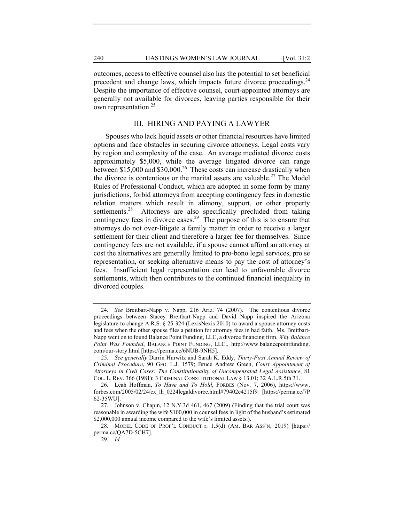outcomes, access to effective counsel also has the potential to set beneficial precedent and change laws, which impacts future divorce proceedings.<sup>24</sup> Despite the importance of effective counsel, court-appointed attorneys are generally not available for divorces, leaving parties responsible for their own representation.<sup>25</sup>

#### III. HIRING AND PAYING A LAWYER

Spouses who lack liquid assets or other financial resources have limited options and face obstacles in securing divorce attorneys. Legal costs vary by region and complexity of the case. An average mediated divorce costs approximately \$5,000, while the average litigated divorce can range between \$15,000 and \$30,000.<sup>26</sup> These costs can increase drastically when the divorce is contentious or the marital assets are valuable.<sup>27</sup> The Model Rules of Professional Conduct, which are adopted in some form by many jurisdictions, forbid attorneys from accepting contingency fees in domestic relation matters which result in alimony, support, or other property settlements.<sup>28</sup> Attorneys are also specifically precluded from taking contingency fees in divorce cases.<sup>29</sup> The purpose of this is to ensure that attorneys do not over-litigate a family matter in order to receive a larger settlement for their client and therefore a larger fee for themselves. Since contingency fees are not available, if a spouse cannot afford an attorney at cost the alternatives are generally limited to pro-bono legal services, pro se representation, or seeking alternative means to pay the cost of attorney's fees. Insufficient legal representation can lead to unfavorable divorce settlements, which then contributes to the continued financial inequality in divorced couples.

<sup>24</sup>*. See* Breitbart-Napp v. Napp, 216 Ariz. 74 (2007). The contentious divorce proceedings between Stacey Breitbart-Napp and David Napp inspired the Arizona legislature to change A.R.S.  $\S$  25-324 (LexisNexis 2010) to award a spouse attorney costs and fees when the other spouse files a petition for attorney fees in bad faith. Ms. Breitbart-Napp went on to found Balance Point Funding, LLC, a divorce financing firm. *Why Balance Point Was Founded*, BALANCE POINT FUNDING, LLC., http://www.balancepointfunding. com/our-story.html [https://perma.cc/6NUB-9NH5].

<sup>25</sup>*. See generally* Darrin Hurwitz and Sarah K. Eddy, *Thirty-First Annual Review of Criminal Procedure*, 90 GEO. L.J. 1579; Bruce Andrew Green, *Court Appointment of Attorneys in Civil Cases: The Constitutionality of Uncompensated Legal Assistance*, 81 COL. L. REV. 366 (1981); 3 CRIMINAL CONSTITUTIONAL LAW § 13.01; 32 A.L.R.5th 31.

 <sup>26.</sup> Leah Hoffman, *To Have and To Hold*, FORBES (Nov. 7, 2006), https://www. forbes.com/2005/02/24/cx\_lh\_0224legaldivorce.html#79402e4215f9 [https://perma.cc/7P 62-35WU].

 <sup>27.</sup> Johnson v. Chapin, 12 N.Y.3d 461, 467 (2009) (Finding that the trial court was reasonable in awarding the wife \$100,000 in counsel fees in light of the husband's estimated \$2,000,000 annual income compared to the wife's limited assets.).

 <sup>28.</sup> MODEL CODE OF PROF'L CONDUCT r. 1.5(d) (AM. BAR ASS'N, 2019) [https:// perma.cc/QA7D-5CH7].

<sup>29</sup>*. Id.*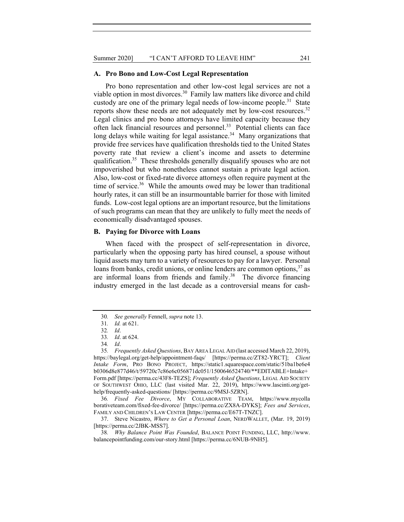#### **A. Pro Bono and Low-Cost Legal Representation**

Pro bono representation and other low-cost legal services are not a viable option in most divorces.<sup>30</sup> Family law matters like divorce and child custody are one of the primary legal needs of low-income people.<sup>31</sup> State reports show these needs are not adequately met by low-cost resources.<sup>32</sup> Legal clinics and pro bono attorneys have limited capacity because they often lack financial resources and personnel.<sup>33</sup> Potential clients can face long delays while waiting for legal assistance.<sup>34</sup> Many organizations that provide free services have qualification thresholds tied to the United States poverty rate that review a client's income and assets to determine qualification.<sup>35</sup> These thresholds generally disqualify spouses who are not impoverished but who nonetheless cannot sustain a private legal action. Also, low-cost or fixed-rate divorce attorneys often require payment at the time of service. $36$  While the amounts owed may be lower than traditional hourly rates, it can still be an insurmountable barrier for those with limited funds. Low-cost legal options are an important resource, but the limitations of such programs can mean that they are unlikely to fully meet the needs of economically disadvantaged spouses.

#### **B. Paying for Divorce with Loans**

When faced with the prospect of self-representation in divorce, particularly when the opposing party has hired counsel, a spouse without liquid assets may turn to a variety of resources to pay for a lawyer. Personal loans from banks, credit unions, or online lenders are common options,  $37$  as are informal loans from friends and family.<sup>38</sup> The divorce financing industry emerged in the last decade as a controversial means for cash-

<sup>30</sup>*. See generally* Fennell, *supra* note 13.

<sup>31</sup>*. Id.* at 621.

<sup>32</sup>*. Id*.

<sup>33</sup>*. Id*. at 624.

<sup>34</sup>*. Id*.

<sup>35</sup>*. Frequently Asked Questions*, BAY AREA LEGAL AID (last accessed March 22, 2019), https://baylegal.org/get-help/appointment-faqs/ [https://perma.cc/ZT82-YRCT]; *Client Intake Form*, PRO BONO PROJECT, https://static1.squarespace.com/static/51ba1be6e4 b0306d8e877d46/t/59720c7c86e6c056871dc051/1500646524740/\*\*EDITABLE+Intake+ Form.pdf [https://perma.cc/43F8-TEZS]; *Frequently Asked Questions*, LEGAL AID SOCIETY OF SOUTHWEST OHIO, LLC (last visited Mar. 22, 2019), https://www.lascinti.org/gethelp/frequently-asked-questions/ [https://perma.cc/9MSJ-5ZRN].

<sup>36</sup>*. Fixed Fee Divorce*, MY COLLABORATIVE TEAM, https://www.mycolla borativeteam.com/fixed-fee-divorce/ [https://perma.cc/ZX8A-DYKS]; *Fees and Services*, FAMILY AND CHILDREN'S LAW CENTER [https://perma.cc/E67T-TNZC].

 <sup>37.</sup> Steve Nicastro, *Where to Get a Personal Loan*, NERDWALLET, (Mar. 19, 2019) [https://perma.cc/2JBK-MSS7].

<sup>38</sup>*. Why Balance Point Was Founded*, BALANCE POINT FUNDING, LLC, http://www. balancepointfunding.com/our-story.html [https://perma.cc/6NUB-9NH5].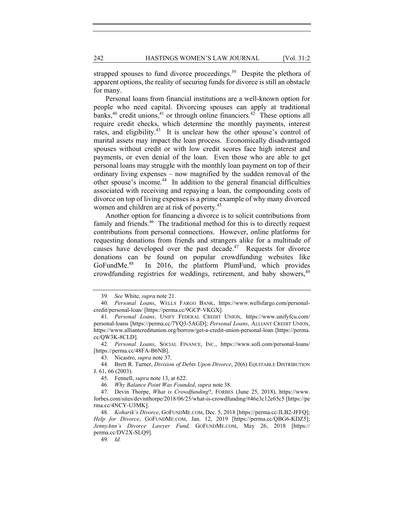strapped spouses to fund divorce proceedings.<sup>39</sup> Despite the plethora of apparent options, the reality of securing funds for divorce is still an obstacle for many.

Personal loans from financial institutions are a well-known option for people who need capital. Divorcing spouses can apply at traditional banks,  $40$  credit unions,  $41$  or through online financiers.  $42$  These options all require credit checks, which determine the monthly payments, interest rates, and eligibility.<sup>43</sup> It is unclear how the other spouse's control of marital assets may impact the loan process. Economically disadvantaged spouses without credit or with low credit scores face high interest and payments, or even denial of the loan. Even those who are able to get personal loans may struggle with the monthly loan payment on top of their ordinary living expenses – now magnified by the sudden removal of the other spouse's income.<sup>44</sup> In addition to the general financial difficulties associated with receiving and repaying a loan, the compounding costs of divorce on top of living expenses is a prime example of why many divorced women and children are at risk of poverty.<sup>45</sup>

Another option for financing a divorce is to solicit contributions from family and friends.<sup>46</sup> The traditional method for this is to directly request contributions from personal connections. However, online platforms for requesting donations from friends and strangers alike for a multitude of causes have developed over the past decade.<sup>47</sup> Requests for divorce donations can be found on popular crowdfunding websites like GoFundMe.<sup>48</sup> In 2016, the platform PlumFund, which provides crowdfunding registries for weddings, retirement, and baby showers,<sup>49</sup>

49*. Id.* 

<sup>39</sup>*. See* White, *supra* note 21.

<sup>40</sup>*. Personal Loans*, WELLS FARGO BANK, https://www.wellsfargo.com/personalcredit/personal-loan/ [https://perma.cc/9GCP-VKGX].

<sup>41</sup>*. Personal Loans*, UNIFY FEDERAL CREDIT UNION, https://www.unifyfcu.com/ personal-loans [https://perma.cc/7YQ3-5AGD]; *Personal Loans*, ALLIANT CREDIT UNION, https://www.alliantcreditunion.org/borrow/get-a-credit-union-personal-loan [https://perma. cc/QW3K-8CLD].

<sup>42</sup>*. Personal Loans*, SOCIAL FINANCE, INC., https://www.sofi.com/personal-loans/ [https://perma.cc/48FA-B6NB].

 <sup>43.</sup> Nicastro, *supra* note 37.

 <sup>44.</sup> Brett R. Turner, *Division of Debts Upon Divorce*, 20(6) EQUITABLE DISTRIBUTION J. 61, 66 (2003).

 <sup>45.</sup> Fennell, *supra* note 13, at 622.

<sup>46</sup>*. Why Balance Point Was Founded*, *supra* note 38.

 <sup>47.</sup> Devin Thorpe, *What is Crowdfunding*?, FORBES (June 25, 2018), https://www. forbes.com/sites/devinthorpe/2018/06/25/what-is-crowdfunding/#46e3c12e65c5 [https://pe rma.cc/4NCY-U3MK].

<sup>48</sup>*. Koharik's Divorce*, GOFUNDME.COM, Dec. 5, 2018 [https://perma.cc/JLB2-JFFQ]; *Help for Divorce*, GOFUNDME.COM, Jan. 12, 2019 [https://perma.cc/QBG6-KDZ5]; *JennyAnn's Divorce Lawyer Fund,* GOFUNDME.COM, May 26, 2018 [https:// perma.cc/DV2X-SLQ9].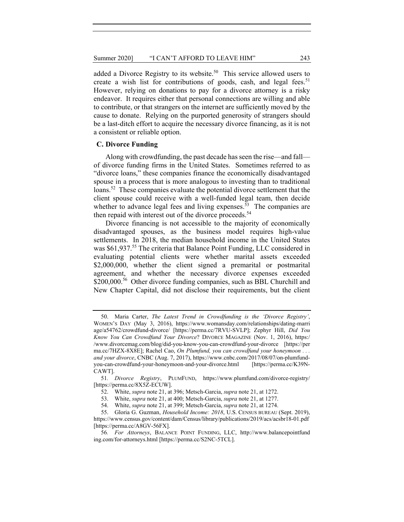added a Divorce Registry to its website.<sup>50</sup> This service allowed users to create a wish list for contributions of goods, cash, and legal fees.<sup>51</sup> However, relying on donations to pay for a divorce attorney is a risky endeavor. It requires either that personal connections are willing and able to contribute, or that strangers on the internet are sufficiently moved by the cause to donate. Relying on the purported generosity of strangers should be a last-ditch effort to acquire the necessary divorce financing, as it is not a consistent or reliable option.

#### **C. Divorce Funding**

Along with crowdfunding, the past decade has seen the rise—and fall of divorce funding firms in the United States. Sometimes referred to as "divorce loans," these companies finance the economically disadvantaged spouse in a process that is more analogous to investing than to traditional loans.<sup>52</sup> These companies evaluate the potential divorce settlement that the client spouse could receive with a well-funded legal team, then decide whether to advance legal fees and living expenses.<sup>53</sup> The companies are then repaid with interest out of the divorce proceeds.<sup>54</sup>

Divorce financing is not accessible to the majority of economically disadvantaged spouses, as the business model requires high-value settlements. In 2018, the median household income in the United States was \$61,937.<sup>55</sup> The criteria that Balance Point Funding, LLC considered in evaluating potential clients were whether marital assets exceeded \$2,000,000, whether the client signed a premarital or postmarital agreement, and whether the necessary divorce expenses exceeded  $$200,000.<sup>56</sup>$  Other divorce funding companies, such as BBL Churchill and New Chapter Capital, did not disclose their requirements, but the client

 <sup>50.</sup> Maria Carter, *The Latest Trend in Crowdfunding is the 'Divorce Registry'*, WOMEN'S DAY (May 3, 2016), https://www.womansday.com/relationships/dating-marri age/a54762/crowdfund-divorce/ [https://perma.cc/7RVU-SVLP]; Zephyr Hill, *Did You Know You Can Crowdfund Your Divorce*? DIVORCE MAGAZINE (Nov. 1, 2016), https:/ /www.divorcemag.com/blog/did-you-know-you-can-crowdfund-your-divorce [https://per ma.cc/7HZX-8X8E]; Rachel Cao, *On Plumfund, you can crowdfund your honeymoon . . . and your divorce*, CNBC (Aug. 7, 2017), https://www.cnbc.com/2017/08/07/on-plumfundyou-can-crowdfund-your-honeymoon-and-your-divorce.html [https://perma.cc/K39N-CAWT].

<sup>51</sup>*. Divorce Registry*, PLUMFUND, https://www.plumfund.com/divorce-registry/ [https://perma.cc/8X5Z-ECUW].

 <sup>52.</sup> White, *supra* note 21, at 396; Metsch-Garcia, *supra* note 21, at 1272.

 <sup>53.</sup> White, *supra* note 21, at 400; Metsch-Garcia, *supra* note 21, at 1277.

 <sup>54.</sup> White, *supra* note 21, at 399; Metsch-Garcia, *supra* note 21, at 1274.

 <sup>55.</sup> Gloria G. Guzman, *Household Income: 2018*, U.S. CENSUS BUREAU (Sept. 2019), https://www.census.gov/content/dam/Census/library/publications/2019/acs/acsbr18-01.pdf [https://perma.cc/A8GV-56FX].

<sup>56</sup>*. For Attorneys*, BALANCE POINT FUNDING, LLC, http://www.balancepointfund ing.com/for-attorneys.html [https://perma.cc/S2NC-5TCL].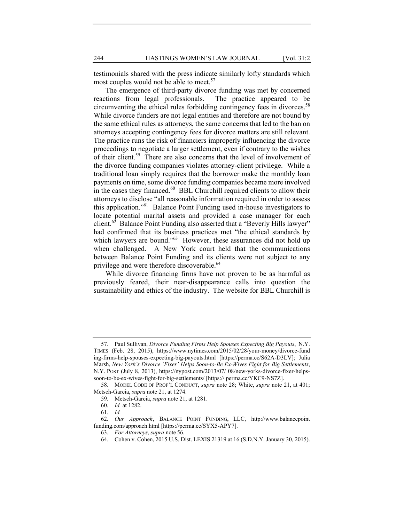testimonials shared with the press indicate similarly lofty standards which most couples would not be able to meet.<sup>57</sup>

The emergence of third-party divorce funding was met by concerned reactions from legal professionals. The practice appeared to be circumventing the ethical rules forbidding contingency fees in divorces.<sup>58</sup> While divorce funders are not legal entities and therefore are not bound by the same ethical rules as attorneys, the same concerns that led to the ban on attorneys accepting contingency fees for divorce matters are still relevant. The practice runs the risk of financiers improperly influencing the divorce proceedings to negotiate a larger settlement, even if contrary to the wishes of their client.<sup>59</sup> There are also concerns that the level of involvement of the divorce funding companies violates attorney-client privilege. While a traditional loan simply requires that the borrower make the monthly loan payments on time, some divorce funding companies became more involved in the cases they financed. $60$  BBL Churchill required clients to allow their attorneys to disclose "all reasonable information required in order to assess this application."61 Balance Point Funding used in-house investigators to locate potential marital assets and provided a case manager for each client.<sup>62</sup> Balance Point Funding also asserted that a "Beverly Hills lawyer" had confirmed that its business practices met "the ethical standards by which lawyers are bound."<sup>63</sup> However, these assurances did not hold up when challenged. A New York court held that the communications between Balance Point Funding and its clients were not subject to any privilege and were therefore discoverable.<sup>64</sup>

While divorce financing firms have not proven to be as harmful as previously feared, their near-disappearance calls into question the sustainability and ethics of the industry. The website for BBL Churchill is

 <sup>57.</sup> Paul Sullivan, *Divorce Funding Firms Help Spouses Expecting Big Payouts*, N.Y. TIMES (Feb. 28, 2015), https://www.nytimes.com/2015/02/28/your-money/divorce-fund ing-firms-help-spouses-expecting-big-payouts.html [https://perma.cc/S62A-D3LV]; Julia Marsh, *New York's Divorce 'Fixer' Helps Soon-to-Be Ex-Wives Fight for Big Settlements*, N.Y. POST (July 8, 2013), https://nypost.com/2013/07/ 08/new-yorks-divorce-fixer-helpssoon-to-be-ex-wives-fight-for-big-settlements/ [https:// perma.cc/YKC9-NS7Z].

 <sup>58.</sup> MODEL CODE OF PROF'L CONDUCT, *supra* note 28; White, *supra* note 21, at 401; Metsch-Garcia, *supra* note 21, at 1274.

 <sup>59.</sup> Metsch-Garcia, *supra* note 21, at 1281.

<sup>60</sup>*. Id.* at 1282.

<sup>61</sup>*. Id.*

<sup>62</sup>*. Our Approach*, BALANCE POINT FUNDING, LLC, http://www.balancepoint funding.com/approach.html [https://perma.cc/SYX5-APY7].

<sup>63</sup>*. For Attorneys*, *supra* note 56.

 <sup>64.</sup> Cohen v. Cohen, 2015 U.S. Dist. LEXIS 21319 at 16 (S.D.N.Y. January 30, 2015).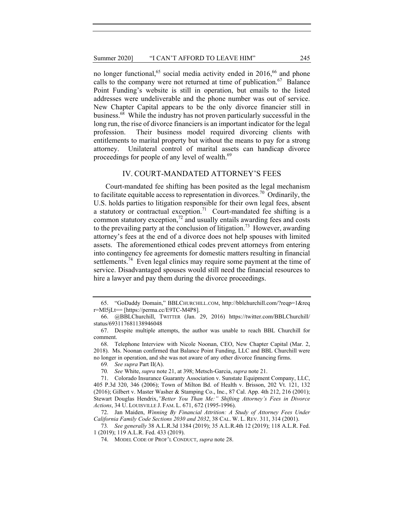no longer functional,<sup>65</sup> social media activity ended in 2016,<sup>66</sup> and phone calls to the company were not returned at time of publication.<sup>67</sup> Balance Point Funding's website is still in operation, but emails to the listed addresses were undeliverable and the phone number was out of service. New Chapter Capital appears to be the only divorce financier still in business.68 While the industry has not proven particularly successful in the long run, the rise of divorce financiers is an important indicator for the legal profession. Their business model required divorcing clients with entitlements to marital property but without the means to pay for a strong attorney. Unilateral control of marital assets can handicap divorce proceedings for people of any level of wealth.<sup>69</sup>

#### IV. COURT-MANDATED ATTORNEY'S FEES

Court-mandated fee shifting has been posited as the legal mechanism to facilitate equitable access to representation in divorces.<sup>70</sup> Ordinarily, the U.S. holds parties to litigation responsible for their own legal fees, absent a statutory or contractual exception.<sup>71</sup> Court-mandated fee shifting is a common statutory exception,<sup>72</sup> and usually entails awarding fees and costs to the prevailing party at the conclusion of litigation.<sup>73</sup> However, awarding attorney's fees at the end of a divorce does not help spouses with limited assets. The aforementioned ethical codes prevent attorneys from entering into contingency fee agreements for domestic matters resulting in financial settlements.<sup>74</sup> Even legal clinics may require some payment at the time of service. Disadvantaged spouses would still need the financial resources to hire a lawyer and pay them during the divorce proceedings.

 <sup>65. &</sup>quot;GoDaddy Domain," BBLCHURCHILL.COM, http://bblchurchill.com/?reqp=1&req r=Ml5jLt== [https://perma.cc/E9TC-M4P8].

 <sup>66. @</sup>BBLChurchill, TWITTER (Jan. 29, 2016) https://twitter.com/BBLChurchill/ status/693117681138946048

 <sup>67.</sup> Despite multiple attempts, the author was unable to reach BBL Churchill for comment.

 <sup>68.</sup> Telephone Interview with Nicole Noonan, CEO, New Chapter Capital (Mar. 2, 2018). Ms. Noonan confirmed that Balance Point Funding, LLC and BBL Churchill were no longer in operation, and she was not aware of any other divorce financing firms.

<sup>69</sup>*. See supra* Part II(A).

<sup>70</sup>*. See* White, *supra* note 21, at 398; Metsch-Garcia, *supra* note 21.

 <sup>71.</sup> Colorado Insurance Guaranty Association v. Sunstate Equipment Company, LLC, 405 P.3d 320, 346 (2006); Town of Milton Bd. of Health v. Brisson, 202 Vt. 121, 132 (2016); Gilbert v. Master Washer & Stamping Co., Inc., 87 Cal. App. 4th 212, 216 (2001); Stewart Douglas Hendrix,*"Better You Than Me:" Shifting Attorney's Fees in Divorce Actions*, 34 U. LOUISVILLE J. FAM. L. 671, 672 (1995-1996).

 <sup>72.</sup> Jan Maiden, *Winning By Financial Attrition: A Study of Attorney Fees Under California Family Code Sections 2030 and 2032*, 38 CAL. W. L. REV. 311, 314 (2001).

<sup>73</sup>*. See generally* 38 A.L.R.3d 1384 (2019); 35 A.L.R.4th 12 (2019); 118 A.L.R. Fed. 1 (2019); 119 A.L.R. Fed. 433 (2019).

 <sup>74.</sup> MODEL CODE OF PROF'L CONDUCT, *supra* note 28.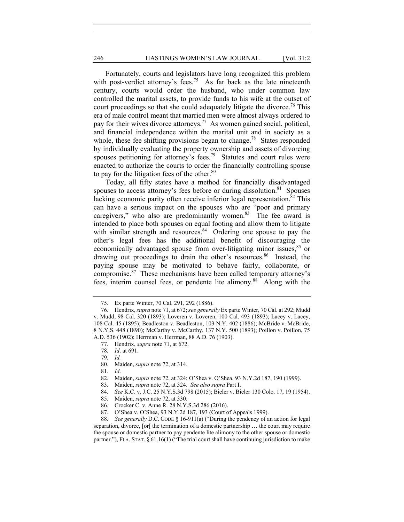246 **HASTINGS WOMEN'S LAW JOURNAL** [Vol. 31:2]

Fortunately, courts and legislators have long recognized this problem with post-verdict attorney's fees.<sup>75</sup> As far back as the late nineteenth century, courts would order the husband, who under common law controlled the marital assets, to provide funds to his wife at the outset of court proceedings so that she could adequately litigate the divorce.<sup>76</sup> This era of male control meant that married men were almost always ordered to pay for their wives divorce attorneys.<sup>77</sup> As women gained social, political, and financial independence within the marital unit and in society as a whole, these fee shifting provisions began to change.<sup>78</sup> States responded by individually evaluating the property ownership and assets of divorcing spouses petitioning for attorney's fees.<sup>79</sup> Statutes and court rules were enacted to authorize the courts to order the financially controlling spouse to pay for the litigation fees of the other. $80$ 

Today, all fifty states have a method for financially disadvantaged spouses to access attorney's fees before or during dissolution.<sup>81</sup> Spouses lacking economic parity often receive inferior legal representation.<sup>82</sup> This can have a serious impact on the spouses who are "poor and primary caregivers," who also are predominantly women.<sup>83</sup> The fee award is intended to place both spouses on equal footing and allow them to litigate with similar strength and resources.<sup>84</sup> Ordering one spouse to pay the other's legal fees has the additional benefit of discouraging the economically advantaged spouse from over-litigating minor issues,<sup>85</sup> or drawing out proceedings to drain the other's resources.<sup>86</sup> Instead, the paying spouse may be motivated to behave fairly, collaborate, or compromise.87 These mechanisms have been called temporary attorney's fees, interim counsel fees, or pendente lite alimony.<sup>88</sup> Along with the

- 82. Maiden, *supra* note 72, at 324; O'Shea v. O'Shea, 93 N.Y.2d 187, 190 (1999).
- 83. Maiden, *supra* note 72, at 324. *See also supra* Part I.
- 84*. See* K.C. v. J.C. 25 N.Y.S.3d 798 (2015); Bieler v. Bieler 130 Colo. 17, 19 (1954).
- 85. Maiden, *supra* note 72, at 330.
- 86. Crocker C. v. Anne R. 28 N.Y.S.3d 286 (2016).
- 87. O'Shea v. O'Shea, 93 N.Y.2d 187, 193 (Court of Appeals 1999).

88*. See generally* D.C. CODE § 16-911(a) ("During the pendency of an action for legal separation, divorce, [or[ the termination of a domestic partnership … the court may require the spouse or domestic partner to pay pendente lite alimony to the other spouse or domestic partner."), FLA. STAT.  $\S 61.16(1)$  ("The trial court shall have continuing jurisdiction to make

 <sup>75.</sup> Ex parte Winter, 70 Cal. 291, 292 (1886).

 <sup>76.</sup> Hendrix, *supra* note 71, at 672; *see generally* Ex parte Winter, 70 Cal. at 292; Mudd v. Mudd, 98 Cal. 320 (1893); Loveren v. Loveren, 100 Cal. 493 (1893); Lacey v. Lacey, 108 Cal. 45 (1895); Beadleston v. Beadleston, 103 N.Y. 402 (1886); McBride v. McBride, 8 N.Y.S. 448 (1890); McCarthy v. McCarthy, 137 N.Y. 500 (1893); Poillon v. Poillon, 75 A.D. 536 (1902); Herrman v. Herrman, 88 A.D. 76 (1903).

 <sup>77.</sup> Hendrix, *supra* note 71, at 672.

<sup>78</sup>*. Id*. at 691.

<sup>79</sup>*. Id.*

 <sup>80.</sup> Maiden, *supra* note 72, at 314.

<sup>81</sup>*. Id*.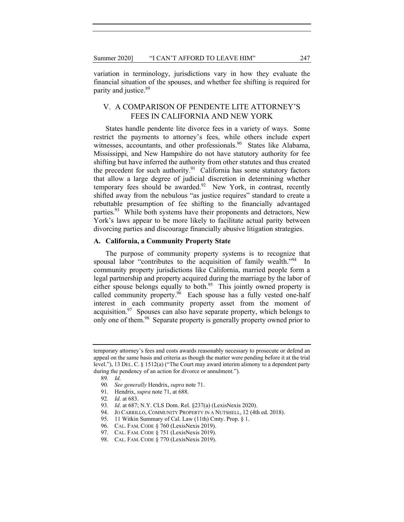variation in terminology, jurisdictions vary in how they evaluate the financial situation of the spouses, and whether fee shifting is required for parity and justice.<sup>89</sup>

### V. A COMPARISON OF PENDENTE LITE ATTORNEY'S FEES IN CALIFORNIA AND NEW YORK

States handle pendente lite divorce fees in a variety of ways. Some restrict the payments to attorney's fees, while others include expert witnesses, accountants, and other professionals.<sup>90</sup> States like Alabama, Mississippi, and New Hampshire do not have statutory authority for fee shifting but have inferred the authority from other statutes and thus created the precedent for such authority. $91$  California has some statutory factors that allow a large degree of judicial discretion in determining whether temporary fees should be awarded.<sup>92</sup> New York, in contrast, recently shifted away from the nebulous "as justice requires" standard to create a rebuttable presumption of fee shifting to the financially advantaged parties.<sup>93</sup> While both systems have their proponents and detractors, New York's laws appear to be more likely to facilitate actual parity between divorcing parties and discourage financially abusive litigation strategies.

#### **A. California, a Community Property State**

The purpose of community property systems is to recognize that spousal labor "contributes to the acquisition of family wealth."<sup>94</sup> In community property jurisdictions like California, married people form a legal partnership and property acquired during the marriage by the labor of either spouse belongs equally to both.<sup>95</sup> This jointly owned property is called community property. $96$  Each spouse has a fully vested one-half interest in each community property asset from the moment of acquisition. $97$  Spouses can also have separate property, which belongs to only one of them.<sup>98</sup> Separate property is generally property owned prior to

temporary attorney's fees and costs awards reasonably necessary to prosecute or defend an appeal on the same basis and criteria as though the matter were pending before it at the trial level."), 13 DEL. C. § 1512(a) ("The Court may award interim alimony to a dependent party during the pendency of an action for divorce or annulment.").

<sup>89</sup>*. Id.*

<sup>90</sup>*. See generally* Hendrix, *supra* note 71.

 <sup>91.</sup> Hendrix, *supra* note 71, at 688.

<sup>92</sup>*. Id*. at 683.

<sup>93</sup>*. Id*. at 687; N.Y. CLS Dom. Rel. §237(a) (LexisNexis 2020).

<sup>94.</sup> JO CARRILLO, COMMUNITY PROPERTY IN A NUTSHELL, 12 (4th ed. 2018).

 <sup>95. 11</sup> Witkin Summary of Cal. Law (11th) Cmty. Prop. § 1.

 <sup>96.</sup> CAL. FAM. CODE § 760 (LexisNexis 2019).

 <sup>97.</sup> CAL. FAM. CODE § 751 (LexisNexis 2019).

 <sup>98.</sup> CAL. FAM. CODE § 770 (LexisNexis 2019).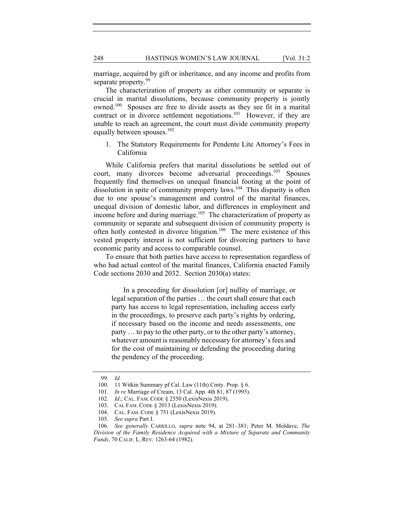marriage, acquired by gift or inheritance, and any income and profits from separate property.<sup>99</sup>

The characterization of property as either community or separate is crucial in marital dissolutions, because community property is jointly owned.100 Spouses are free to divide assets as they see fit in a marital contract or in divorce settlement negotiations.<sup>101</sup> However, if they are unable to reach an agreement, the court must divide community property equally between spouses.<sup>102</sup>

1. The Statutory Requirements for Pendente Lite Attorney's Fees in California

While California prefers that marital dissolutions be settled out of court, many divorces become adversarial proceedings.<sup>103</sup> Spouses frequently find themselves on unequal financial footing at the point of dissolution in spite of community property laws.<sup>104</sup> This disparity is often due to one spouse's management and control of the marital finances, unequal division of domestic labor, and differences in employment and income before and during marriage.<sup>105</sup> The characterization of property as community or separate and subsequent division of community property is often hotly contested in divorce litigation.<sup>106</sup> The mere existence of this vested property interest is not sufficient for divorcing partners to have economic parity and access to comparable counsel.

To ensure that both parties have access to representation regardless of who had actual control of the marital finances, California enacted Family Code sections 2030 and 2032. Section 2030(a) states:

In a proceeding for dissolution [or] nullity of marriage, or legal separation of the parties … the court shall ensure that each party has access to legal representation, including access early in the proceedings, to preserve each party's rights by ordering, if necessary based on the income and needs assessments, one party … to pay to the other party, or to the other party's attorney, whatever amount is reasonably necessary for attorney's fees and for the cost of maintaining or defending the proceeding during the pendency of the proceeding.

<sup>99</sup>*. Id.* 

 <sup>100. 11</sup> Witkin Summary pf Cal. Law (11th) Cmty. Prop. § 6.

<sup>101</sup>*. In re* Marriage of Cream, 13 Cal. App. 4th 81, 87 (1993).

<sup>102</sup>*. Id*.; CAL. FAM. CODE § 2550 (LexisNexis 2019).

 <sup>103.</sup> CAL FAM. CODE § 2013 (LexisNexis 2019).

 <sup>104.</sup> CAL. FAM. CODE § 751 (LexisNexis 2019).

<sup>105</sup>*. See supra* Part I.

<sup>106</sup>*. See generally* CARRILLO, *supra* note 94, at 281–381; Peter M. Moldave, *The Division of the Family Residence Acquired with a Mixture of Separate and Community Funds*, 70 CALIF. L. REV. 1263-64 (1982).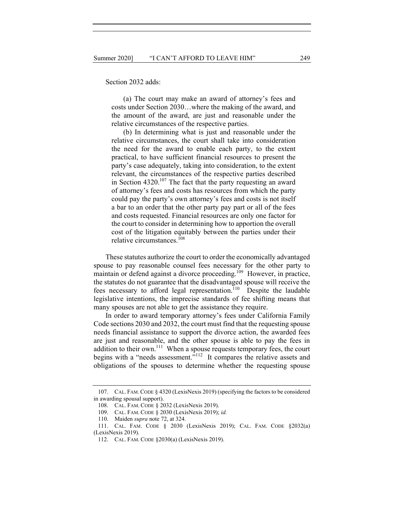Section 2032 adds:

(a) The court may make an award of attorney's fees and costs under Section 2030…where the making of the award, and the amount of the award, are just and reasonable under the relative circumstances of the respective parties.

(b) In determining what is just and reasonable under the relative circumstances, the court shall take into consideration the need for the award to enable each party, to the extent practical, to have sufficient financial resources to present the party's case adequately, taking into consideration, to the extent relevant, the circumstances of the respective parties described in Section  $4320$ .<sup>107</sup> The fact that the party requesting an award of attorney's fees and costs has resources from which the party could pay the party's own attorney's fees and costs is not itself a bar to an order that the other party pay part or all of the fees and costs requested. Financial resources are only one factor for the court to consider in determining how to apportion the overall cost of the litigation equitably between the parties under their relative circumstances.<sup>108</sup>

These statutes authorize the court to order the economically advantaged spouse to pay reasonable counsel fees necessary for the other party to maintain or defend against a divorce proceeding.<sup>109</sup> However, in practice, the statutes do not guarantee that the disadvantaged spouse will receive the fees necessary to afford legal representation.<sup>110</sup> Despite the laudable legislative intentions, the imprecise standards of fee shifting means that many spouses are not able to get the assistance they require.

In order to award temporary attorney's fees under California Family Code sections 2030 and 2032, the court must find that the requesting spouse needs financial assistance to support the divorce action, the awarded fees are just and reasonable, and the other spouse is able to pay the fees in addition to their own.<sup>111</sup> When a spouse requests temporary fees, the court begins with a "needs assessment."<sup>112</sup> It compares the relative assets and obligations of the spouses to determine whether the requesting spouse

 <sup>107.</sup> CAL. FAM.CODE § 4320 (LexisNexis 2019) (specifying the factors to be considered in awarding spousal support).

 <sup>108.</sup> CAL. FAM. CODE § 2032 (LexisNexis 2019).

 <sup>109.</sup> CAL. FAM. CODE § 2030 (LexisNexis 2019); *id.*

 <sup>110.</sup> Maiden *supra* note 72, at 324.

 <sup>111.</sup> CAL. FAM. CODE § 2030 (LexisNexis 2019); CAL. FAM. CODE §2032(a) (LexisNexis 2019).

 <sup>112.</sup> CAL. FAM. CODE §2030(a) (LexisNexis 2019).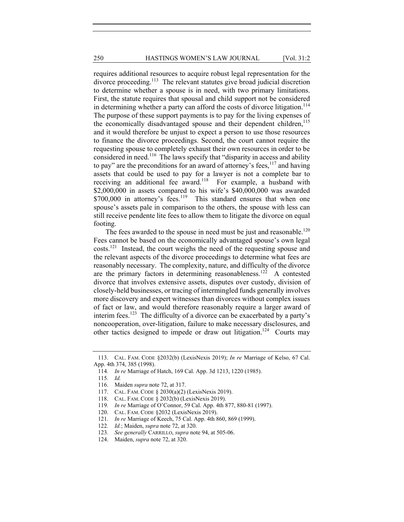requires additional resources to acquire robust legal representation for the divorce proceeding.<sup>113</sup> The relevant statutes give broad judicial discretion to determine whether a spouse is in need, with two primary limitations. First, the statute requires that spousal and child support not be considered in determining whether a party can afford the costs of divorce litigation.<sup>114</sup> The purpose of these support payments is to pay for the living expenses of the economically disadvantaged spouse and their dependent children,<sup>115</sup> and it would therefore be unjust to expect a person to use those resources to finance the divorce proceedings. Second, the court cannot require the requesting spouse to completely exhaust their own resources in order to be considered in need.<sup>116</sup> The laws specify that "disparity in access and ability to pay" are the preconditions for an award of attorney's fees,  $117$  and having assets that could be used to pay for a lawyer is not a complete bar to receiving an additional fee award.<sup>118</sup> For example, a husband with \$2,000,000 in assets compared to his wife's \$40,000,000 was awarded  $$700,000$  in attorney's fees.<sup>119</sup> This standard ensures that when one spouse's assets pale in comparison to the others, the spouse with less can still receive pendente lite fees to allow them to litigate the divorce on equal footing.

The fees awarded to the spouse in need must be just and reasonable.<sup>120</sup> Fees cannot be based on the economically advantaged spouse's own legal  $costs<sup>121</sup>$  Instead, the court weighs the need of the requesting spouse and the relevant aspects of the divorce proceedings to determine what fees are reasonably necessary. The complexity, nature, and difficulty of the divorce are the primary factors in determining reasonableness.<sup>122</sup> A contested divorce that involves extensive assets, disputes over custody, division of closely-held businesses, or tracing of intermingled funds generally involves more discovery and expert witnesses than divorces without complex issues of fact or law, and would therefore reasonably require a larger award of interim fees.<sup>123</sup> The difficulty of a divorce can be exacerbated by a party's noncooperation, over-litigation, failure to make necessary disclosures, and other tactics designed to impede or draw out litigation.<sup>124</sup> Courts may

 <sup>113.</sup> CAL. FAM. CODE §2032(b) (LexisNexis 2019); *In re* Marriage of Kelso, 67 Cal. App. 4th 374, 385 (1998).

<sup>114</sup>*. In re* Marriage of Hatch, 169 Cal. App. 3d 1213, 1220 (1985).

<sup>115</sup>*. Id.*

 <sup>116.</sup> Maiden *supra* note 72, at 317.

 <sup>117.</sup> CAL. FAM. CODE § 2030(a)(2) (LexisNexis 2019).

 <sup>118.</sup> CAL. FAM. CODE § 2032(b) (LexisNexis 2019).

<sup>119</sup>*. In re* Marriage of O'Connor, 59 Cal. App. 4th 877, 880-81 (1997).

 <sup>120.</sup> CAL. FAM. CODE §2032 (LexisNexis 2019).

<sup>121</sup>*. In re* Marriage of Keech, 75 Cal. App. 4th 860, 869 (1999).

<sup>122</sup>*. Id.*; Maiden, *supra* note 72, at 320.

<sup>123</sup>*. See generally* CARRILLO, *supra* note 94, at 505-06.

 <sup>124.</sup> Maiden, *supra* note 72, at 320.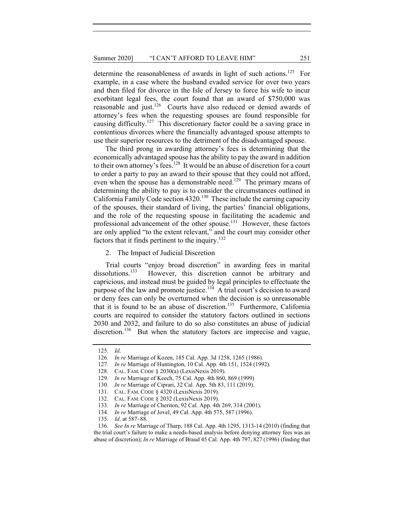determine the reasonableness of awards in light of such actions.<sup>125</sup> For example, in a case where the husband evaded service for over two years and then filed for divorce in the Isle of Jersey to force his wife to incur exorbitant legal fees, the court found that an award of \$750,000 was reasonable and just.<sup>126</sup> Courts have also reduced or denied awards of attorney's fees when the requesting spouses are found responsible for causing difficulty.<sup>127</sup> This discretionary factor could be a saving grace in contentious divorces where the financially advantaged spouse attempts to use their superior resources to the detriment of the disadvantaged spouse.

The third prong in awarding attorney's fees is determining that the economically advantaged spouse has the ability to pay the award in addition to their own attorney's fees.<sup>128</sup> It would be an abuse of discretion for a court to order a party to pay an award to their spouse that they could not afford, even when the spouse has a demonstrable need.<sup>129</sup> The primary means of determining the ability to pay is to consider the circumstances outlined in California Family Code section 4320.130 These include the earning capacity of the spouses, their standard of living, the parties' financial obligations, and the role of the requesting spouse in facilitating the academic and professional advancement of the other spouse.<sup>131</sup> However, these factors are only applied "to the extent relevant," and the court may consider other factors that it finds pertinent to the inquiry.<sup>132</sup>

2. The Impact of Judicial Discretion

Trial courts "enjoy broad discretion" in awarding fees in marital dissolutions.<sup>133</sup> However, this discretion cannot be arbitrary and However, this discretion cannot be arbitrary and capricious, and instead must be guided by legal principles to effectuate the purpose of the law and promote justice.<sup>134</sup> A trial court's decision to award or deny fees can only be overturned when the decision is so unreasonable that it is found to be an abuse of discretion.<sup>135</sup> Furthermore, California courts are required to consider the statutory factors outlined in sections 2030 and 2032, and failure to do so also constitutes an abuse of judicial discretion.<sup>136</sup> But when the statutory factors are imprecise and vague,

<sup>125</sup>*. Id*.

<sup>126</sup>*. In re* Marriage of Kozen, 185 Cal. App. 3d 1258, 1265 (1986).

<sup>127</sup>*. In re* Marriage of Huntington, 10 Cal. App. 4th 151, 1524 (1992).

 <sup>128.</sup> CAL. FAM. CODE § 2030(a) (LexisNexis 2019).

<sup>129</sup>*. In re* Marriage of Keech, 75 Cal. App. 4th 860, 869 (1999)

<sup>130</sup>*. In re* Marriage of Ciprari, 32 Cal. App. 5th 83, 111 (2019).

 <sup>131.</sup> CAL. FAM. CODE § 4320 (LexisNexis 2019).

 <sup>132.</sup> CAL. FAM. CODE § 2032 (LexisNexis 2019).

<sup>133</sup>*. In re* Marriage of Cheriton, 92 Cal. App. 4th 269, 314 (2001).

<sup>134</sup>*. In re* Marriage of Jovel, 49 Cal. App. 4th 575, 587 (1996).

<sup>135</sup>*. Id*. at 587–88.

<sup>136</sup>*. See In re* Marriage of Tharp, 188 Cal. App. 4th 1295, 1313-14 (2010) (finding that the trial court's failure to make a needs-based analysis before denying attorney fees was an abuse of discretion); *In re* Marriage of Braud 45 Cal. App. 4th 797, 827 (1996) (finding that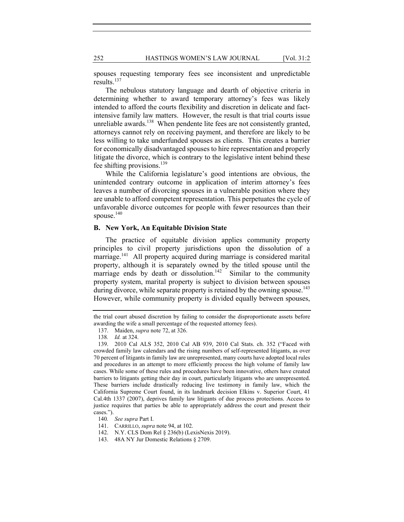252 HASTINGS WOMEN'S LAW JOURNAL [Vol. 31:2]

spouses requesting temporary fees see inconsistent and unpredictable results. $137$ 

The nebulous statutory language and dearth of objective criteria in determining whether to award temporary attorney's fees was likely intended to afford the courts flexibility and discretion in delicate and factintensive family law matters. However, the result is that trial courts issue unreliable awards.<sup>138</sup> When pendente lite fees are not consistently granted, attorneys cannot rely on receiving payment, and therefore are likely to be less willing to take underfunded spouses as clients. This creates a barrier for economically disadvantaged spouses to hire representation and properly litigate the divorce, which is contrary to the legislative intent behind these fee shifting provisions.<sup>139</sup>

While the California legislature's good intentions are obvious, the unintended contrary outcome in application of interim attorney's fees leaves a number of divorcing spouses in a vulnerable position where they are unable to afford competent representation. This perpetuates the cycle of unfavorable divorce outcomes for people with fewer resources than their spouse. $140$ 

#### **B. New York, An Equitable Division State**

The practice of equitable division applies community property principles to civil property jurisdictions upon the dissolution of a marriage.<sup>141</sup> All property acquired during marriage is considered marital property, although it is separately owned by the titled spouse until the marriage ends by death or dissolution.<sup>142</sup> Similar to the community property system, marital property is subject to division between spouses during divorce, while separate property is retained by the owning spouse.<sup>143</sup> However, while community property is divided equally between spouses,

the trial court abused discretion by failing to consider the disproportionate assets before awarding the wife a small percentage of the requested attorney fees).

 <sup>137.</sup> Maiden, *supra* note 72, at 326.

<sup>138</sup>*. Id.* at 324.

 <sup>139. 2010</sup> Cal ALS 352, 2010 Cal AB 939, 2010 Cal Stats. ch. 352 ("Faced with crowded family law calendars and the rising numbers of self-represented litigants, as over 70 percent of litigants in family law are unrepresented, many courts have adopted local rules and procedures in an attempt to more efficiently process the high volume of family law cases. While some of these rules and procedures have been innovative, others have created barriers to litigants getting their day in court, particularly litigants who are unrepresented. These barriers include drastically reducing live testimony in family law, which the California Supreme Court found, in its landmark decision Elkins v. Superior Court, 41 Cal.4th 1337 (2007), deprives family law litigants of due process protections. Access to justice requires that parties be able to appropriately address the court and present their cases.").

<sup>140</sup>*. See supra* Part I.

 <sup>141.</sup> CARRILLO, *supra* note 94, at 102.

 <sup>142.</sup> N.Y. CLS Dom Rel § 236(b) (LexisNexis 2019).

 <sup>143. 48</sup>A NY Jur Domestic Relations § 2709.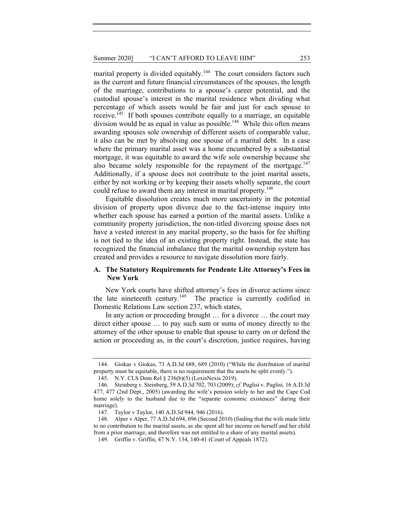marital property is divided equitably.<sup>144</sup> The court considers factors such as the current and future financial circumstances of the spouses, the length of the marriage, contributions to a spouse's career potential, and the custodial spouse's interest in the marital residence when dividing what percentage of which assets would be fair and just for each spouse to receive.<sup>145</sup> If both spouses contribute equally to a marriage, an equitable division would be as equal in value as possible.<sup>146</sup> While this often means awarding spouses sole ownership of different assets of comparable value, it also can be met by absolving one spouse of a marital debt. In a case where the primary marital asset was a home encumbered by a substantial mortgage, it was equitable to award the wife sole ownership because she also became solely responsible for the repayment of the mortgage.<sup>147</sup> Additionally, if a spouse does not contribute to the joint marital assets, either by not working or by keeping their assets wholly separate, the court could refuse to award them any interest in marital property.<sup>148</sup>

Equitable dissolution creates much more uncertainty in the potential division of property upon divorce due to the fact-intense inquiry into whether each spouse has earned a portion of the marital assets. Unlike a community property jurisdiction, the non-titled divorcing spouse does not have a vested interest in any marital property, so the basis for fee shifting is not tied to the idea of an existing property right. Instead, the state has recognized the financial imbalance that the marital ownership system has created and provides a resource to navigate dissolution more fairly.

#### **A. The Statutory Requirements for Pendente Lite Attorney's Fees in New York**

New York courts have shifted attorney's fees in divorce actions since the late nineteenth century.<sup>149</sup> The practice is currently codified in Domestic Relations Law section 237, which states,

In any action or proceeding brought … for a divorce … the court may direct either spouse … to pay such sum or sums of money directly to the attorney of the other spouse to enable that spouse to carry on or defend the action or proceeding as, in the court's discretion, justice requires, having

 <sup>144.</sup> Giokas v Giokas, 73 A.D.3d 688, 689 (2010) ("While the distribution of marital property must be equitable, there is no requirement that the assets be split evenly.").

 <sup>145.</sup> N.Y. CLS Dom Rel § 236(b)(5) (LexisNexis 2019).

 <sup>146.</sup> Steinberg v. Steinberg, 59 A.D.3d 702, 703 (2009); *cf.* Puglisi v. Puglisi*,* 16 A.D.3d 477, 477 (2nd Dept., 2005) (awarding the wife's pension solely to her and the Cape Cod home solely to the husband due to the "separate economic existences" during their marriage).

 <sup>147.</sup> Taylor v Taylor, 140 A.D.3d 944, 946 (2016).

 <sup>148.</sup> Alper v Alper, 77 A.D.3d 694, 696 (Second 2010) (finding that the wife made little to no contribution to the marital assets, as she spent all her income on herself and her child from a prior marriage, and therefore was not entitled to a share of any marital assets).

 <sup>149.</sup> Griffin v. Griffin, 47 N.Y. 134, 140-41 (Court of Appeals 1872).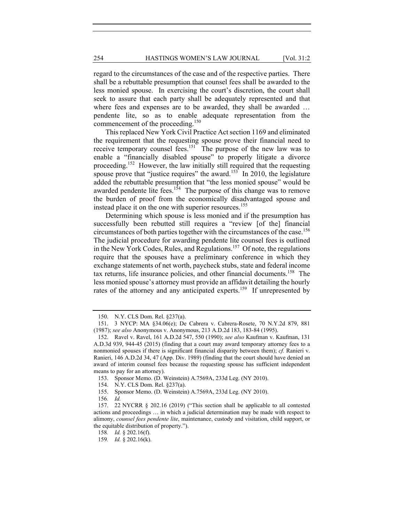regard to the circumstances of the case and of the respective parties. There shall be a rebuttable presumption that counsel fees shall be awarded to the less monied spouse. In exercising the court's discretion, the court shall seek to assure that each party shall be adequately represented and that where fees and expenses are to be awarded, they shall be awarded … pendente lite, so as to enable adequate representation from the commencement of the proceeding.<sup>150</sup>

This replaced New York Civil Practice Act section 1169 and eliminated the requirement that the requesting spouse prove their financial need to receive temporary counsel fees.<sup>151</sup> The purpose of the new law was to enable a "financially disabled spouse" to properly litigate a divorce proceeding.<sup>152</sup> However, the law initially still required that the requesting spouse prove that "justice requires" the award.<sup>153</sup> In 2010, the legislature added the rebuttable presumption that "the less monied spouse" would be awarded pendente lite fees.<sup>154</sup> The purpose of this change was to remove the burden of proof from the economically disadvantaged spouse and instead place it on the one with superior resources.<sup>155</sup>

Determining which spouse is less monied and if the presumption has successfully been rebutted still requires a "review [of the] financial circumstances of both parties together with the circumstances of the case.156 The judicial procedure for awarding pendente lite counsel fees is outlined in the New York Codes, Rules, and Regulations.<sup>157</sup> Of note, the regulations require that the spouses have a preliminary conference in which they exchange statements of net worth, paycheck stubs, state and federal income tax returns, life insurance policies, and other financial documents.<sup>158</sup> The less monied spouse's attorney must provide an affidavit detailing the hourly rates of the attorney and any anticipated experts.<sup>159</sup> If unrepresented by

 <sup>150.</sup> N.Y. CLS Dom. Rel. §237(a).

 <sup>151. 3</sup> NYCP: MA §34.06(e); De Cabrera v. Cabrera-Rosete, 70 N.Y.2d 879, 881 (1987); *see also* Anonymous v. Anonymous, 213 A.D.2d 183, 183-84 (1995).

 <sup>152.</sup> Ravel v. Ravel, 161 A.D.2d 547, 550 (1990); *see also* Kaufman v. Kaufman, 131 A.D.3d 939, 944-45 (2015) (finding that a court may award temporary attorney fees to a nonmonied spouses if there is significant financial disparity between them); *cf.* Ranieri v. Ranieri, 146 A.D.2d 34, 47 (App. Div. 1989) (finding that the court should have denied an award of interim counsel fees because the requesting spouse has sufficient independent means to pay for an attorney).

 <sup>153.</sup> Sponsor Memo. (D. Weinstein) A.7569A, 233d Leg. (NY 2010).

 <sup>154.</sup> N.Y. CLS Dom. Rel. §237(a).

 <sup>155.</sup> Sponsor Memo. (D. Weinstein) A.7569A, 233d Leg. (NY 2010).

<sup>156</sup>*. Id.*

 <sup>157. 22</sup> NYCRR § 202.16 (2019) ("This section shall be applicable to all contested actions and proceedings … in which a judicial determination may be made with respect to alimony, *counsel fees pendente lite*, maintenance, custody and visitation, child support, or the equitable distribution of property.").

<sup>158</sup>*. Id.* § 202.16(f).

<sup>159</sup>*. Id.* § 202.16(k).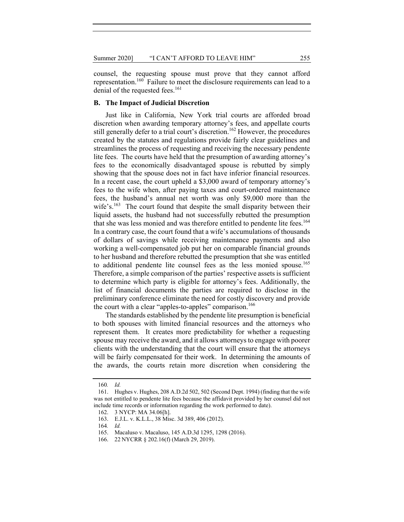counsel, the requesting spouse must prove that they cannot afford representation.160 Failure to meet the disclosure requirements can lead to a denial of the requested fees.<sup>161</sup>

#### **B. The Impact of Judicial Discretion**

Just like in California, New York trial courts are afforded broad discretion when awarding temporary attorney's fees, and appellate courts still generally defer to a trial court's discretion.<sup>162</sup> However, the procedures created by the statutes and regulations provide fairly clear guidelines and streamlines the process of requesting and receiving the necessary pendente lite fees. The courts have held that the presumption of awarding attorney's fees to the economically disadvantaged spouse is rebutted by simply showing that the spouse does not in fact have inferior financial resources. In a recent case, the court upheld a \$3,000 award of temporary attorney's fees to the wife when, after paying taxes and court-ordered maintenance fees, the husband's annual net worth was only \$9,000 more than the wife's.<sup>163</sup> The court found that despite the small disparity between their liquid assets, the husband had not successfully rebutted the presumption that she was less monied and was therefore entitled to pendente lite fees.<sup>164</sup> In a contrary case, the court found that a wife's accumulations of thousands of dollars of savings while receiving maintenance payments and also working a well-compensated job put her on comparable financial grounds to her husband and therefore rebutted the presumption that she was entitled to additional pendente lite counsel fees as the less monied spouse.<sup>165</sup> Therefore, a simple comparison of the parties' respective assets is sufficient to determine which party is eligible for attorney's fees. Additionally, the list of financial documents the parties are required to disclose in the preliminary conference eliminate the need for costly discovery and provide the court with a clear "apples-to-apples" comparison.<sup>166</sup>

The standards established by the pendente lite presumption is beneficial to both spouses with limited financial resources and the attorneys who represent them. It creates more predictability for whether a requesting spouse may receive the award, and it allows attorneys to engage with poorer clients with the understanding that the court will ensure that the attorneys will be fairly compensated for their work. In determining the amounts of the awards, the courts retain more discretion when considering the

<sup>160</sup>*. Id.*

 <sup>161.</sup> Hughes v. Hughes, 208 A.D.2d 502, 502 (Second Dept. 1994) (finding that the wife was not entitled to pendente lite fees because the affidavit provided by her counsel did not include time records or information regarding the work performed to date).

 <sup>162. 3</sup> NYCP: MA 34.06[h].

 <sup>163.</sup> E.J.L. v. K.L.L., 38 Misc. 3d 389, 406 (2012).

<sup>164</sup>*. Id.*

 <sup>165.</sup> Macaluso v. Macaluso, 145 A.D.3d 1295, 1298 (2016).

 <sup>166. 22</sup> NYCRR § 202.16(f) (March 29, 2019).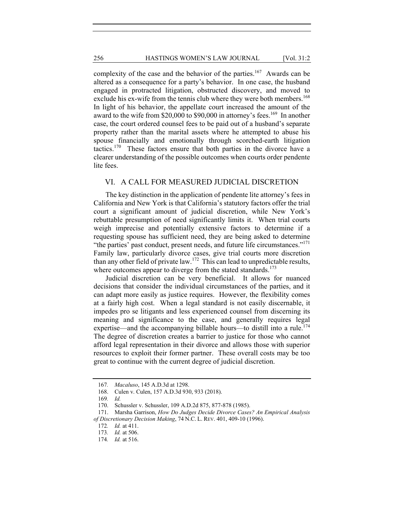complexity of the case and the behavior of the parties.<sup>167</sup> Awards can be altered as a consequence for a party's behavior. In one case, the husband engaged in protracted litigation, obstructed discovery, and moved to exclude his ex-wife from the tennis club where they were both members.<sup>168</sup> In light of his behavior, the appellate court increased the amount of the award to the wife from \$20,000 to \$90,000 in attorney's fees.<sup>169</sup> In another case, the court ordered counsel fees to be paid out of a husband's separate property rather than the marital assets where he attempted to abuse his spouse financially and emotionally through scorched-earth litigation tactics.170 These factors ensure that both parties in the divorce have a clearer understanding of the possible outcomes when courts order pendente lite fees.

#### VI. A CALL FOR MEASURED JUDICIAL DISCRETION

The key distinction in the application of pendente lite attorney's fees in California and New York is that California's statutory factors offer the trial court a significant amount of judicial discretion, while New York's rebuttable presumption of need significantly limits it. When trial courts weigh imprecise and potentially extensive factors to determine if a requesting spouse has sufficient need, they are being asked to determine "the parties' past conduct, present needs, and future life circumstances."<sup>171</sup> Family law, particularly divorce cases, give trial courts more discretion than any other field of private law.172 This can lead to unpredictable results, where outcomes appear to diverge from the stated standards.<sup>173</sup>

Judicial discretion can be very beneficial. It allows for nuanced decisions that consider the individual circumstances of the parties, and it can adapt more easily as justice requires. However, the flexibility comes at a fairly high cost. When a legal standard is not easily discernable, it impedes pro se litigants and less experienced counsel from discerning its meaning and significance to the case, and generally requires legal expertise—and the accompanying billable hours—to distill into a rule.<sup>174</sup> The degree of discretion creates a barrier to justice for those who cannot afford legal representation in their divorce and allows those with superior resources to exploit their former partner. These overall costs may be too great to continue with the current degree of judicial discretion.

<sup>167</sup>*. Macaluso*, 145 A.D.3d at 1298.

 <sup>168.</sup> Culen v. Culen, 157 A.D.3d 930, 933 (2018).

<sup>169</sup>*. Id.* 

 <sup>170.</sup> Schussler v. Schussler, 109 A.D.2d 875, 877-878 (1985).

 <sup>171.</sup> Marsha Garrison, *How Do Judges Decide Divorce Cases? An Empirical Analysis of Discretionary Decision Making*, 74 N.C. L. REV. 401, 409-10 (1996).

<sup>172</sup>*. Id.* at 411.

<sup>173</sup>*. Id.* at 506.

<sup>174</sup>*. Id.* at 516.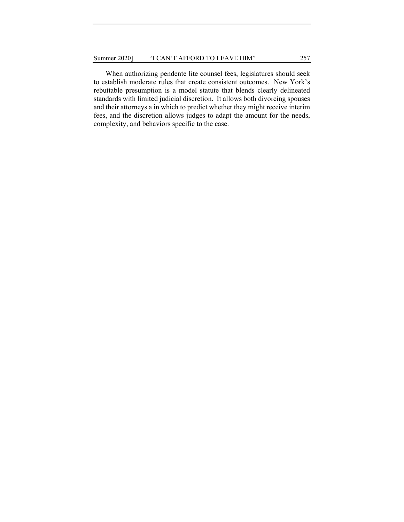When authorizing pendente lite counsel fees, legislatures should seek to establish moderate rules that create consistent outcomes. New York's rebuttable presumption is a model statute that blends clearly delineated standards with limited judicial discretion. It allows both divorcing spouses and their attorneys a in which to predict whether they might receive interim fees, and the discretion allows judges to adapt the amount for the needs, complexity, and behaviors specific to the case.